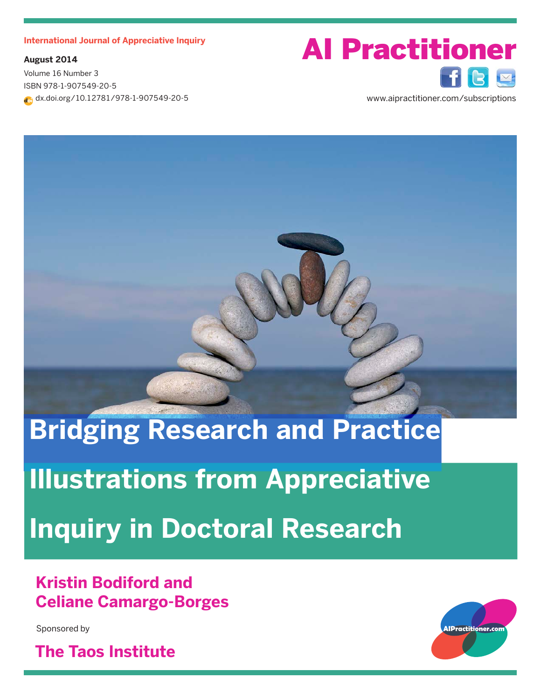**August 2014**

Volume 16 Number 3 ISBN 978-1-907549-20-5 dx.doi.org/10.12781/978-1-907549-20-5

# International Journal of Appreciative Inquiry<br> **AI Practitioner**

www.aipractitioner.com/subscriptions

# **Bridging Research and Practice Illustrations from Appreciative Inquiry in Doctoral Research**

### **Kristin Bodiford and Celiane Camargo-Borges**

Sponsored by

**The Taos Institute**

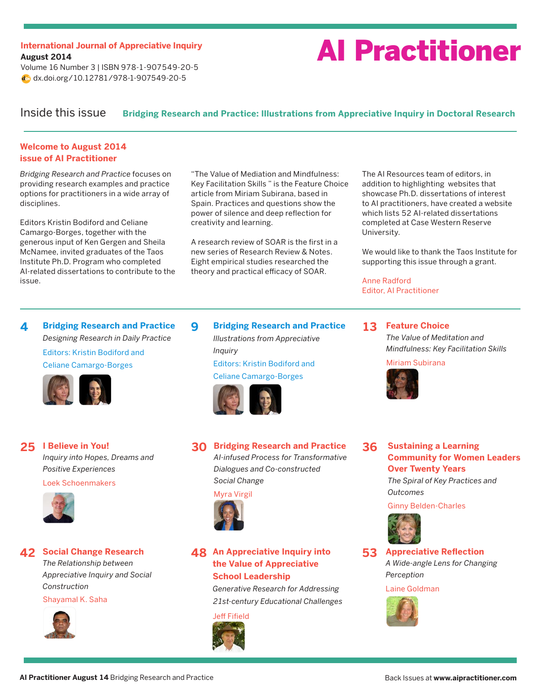## **August 2014**

Volume 16 Number 3 | ISBN 978-1-907549-20-5 dx.doi.org/10.12781/978-1-907549-20-5

## International Journal of Appreciative Inquiry<br>All **Practitioners**

#### Inside this issue **Bridging Research and Practice: Illustrations from Appreciative Inquiry in Doctoral Research**

#### **Welcome to August 2014 issue of AI Practitioner**

*Bridging Research and Practice* focuses on providing research examples and practice options for practitioners in a wide array of disciplines.

Editors Kristin Bodiford and Celiane Camargo-Borges, together with the generous input of Ken Gergen and Sheila McNamee, invited graduates of the Taos Institute Ph.D. Program who completed AI-related dissertations to contribute to the issue.

"The Value of Mediation and Mindfulness: Key Facilitation Skills " is the Feature Choice article from Miriam Subirana, based in Spain. Practices and questions show the power of silence and deep reflection for creativity and learning.

A research review of SOAR is the first in a new series of Research Review & Notes. Eight empirical studies researched the theory and practical efficacy of SOAR.

**9 [Bridging Research and Practice](#page-8-0)** *Illustrations from Appreciative* 

> Editors: Kristin Bodiford and Celiane Camargo-Borges

The AI Resources team of editors, in addition to highlighting websites that showcase Ph.D. dissertations of interest to AI practitioners, have created a website which lists 52 AI-related dissertations completed at Case Western Reserve University.

We would like to thank the Taos Institute for supporting this issue through a grant.

Anne Radford Editor, AI Practitioner

**4 [Bridging Research and Practice](#page-3-0)** *Designing Research in Daily Practice* Editors: Kristin Bodiford and Celiane Camargo-Borges



**I Believe in You! 25** *Inquiry into Hopes, Dreams and Positive Experiences*

Loek Schoenmakers



**42 Social Change Research** *The Relationship between Appreciative Inquiry and Social Construction*

Shayamal K. Saha



**Bridging Research and Practice 30** *AI-infused Process for Transformative Dialogues and Co-constructed* 

> *Social Change* Myra Virgil



*Inquiry*

**An Appreciative Inquiry into 48 the Value of Appreciative School Leadership**

> *Generative Research for Addressing 21st-century Educational Challenges*



**13 Feature Choice** *The Value of Meditation and Mindfulness: Key Facilitation Skills*

Miriam Subirana



**Sustaining a Learning Community for Women Leaders Over Twenty Years** *The Spiral of Key Practices and*  **36**

*Outcomes*

Ginny Belden-Charles



**Appreciative Reflection** *A Wide-angle Lens for Changing Perception* **53**

Laine Goldman

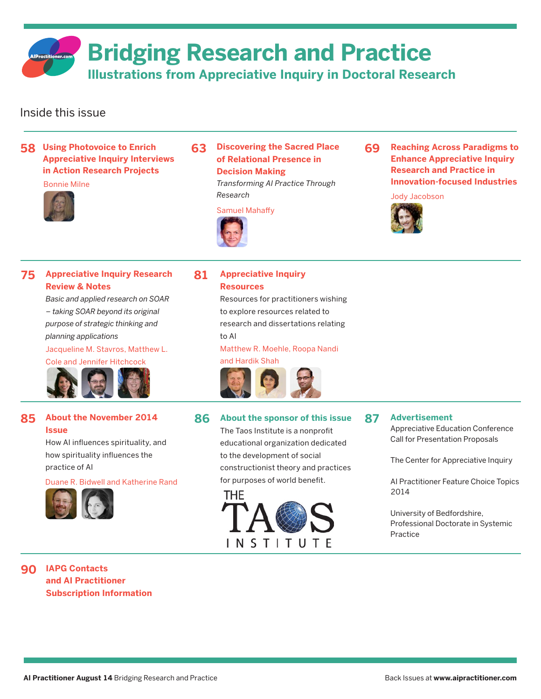**Bridging Research and Practice**

**Illustrations from Appreciative Inquiry in Doctoral Research**

#### Inside this issue

**58 Using Photovoice to Enrich Appreciative Inquiry Interviews in Action Research Projects**

#### Bonnie Milne



**Discovering the Sacred Place 63 of Relational Presence in Decision Making** *Transforming AI Practice Through* 

Samuel Mahaffy



*Research*

**Reaching Across Paradigms to Enhance Appreciative Inquiry Research and Practice in Innovation-focused Industries 69**

#### Jody Jacobson



#### **75 Appreciative Inquiry Research Review & Notes**

*Basic and applied research on SOAR – taking SOAR beyond its original purpose of strategic thinking and planning applications*

#### Jacqueline M. Stavros, Matthew L.

Cole and Jennifer Hitchcock



#### **85 About the November 2014 Issue**

How AI influences spirituality, and how spirituality influences the practice of AI

[Duane R. Bidwell and Katherine Rand](#page-12-0)



#### **81 Appreciative Inquiry Resources**

Resources for practitioners wishing to explore resources related to research and dissertations relating to AI

Matthew R. Moehle, Roopa Nandi



#### **86 About the sponsor of this issue**

The Taos Institute is a nonprofit educational organization dedicated to the development of social constructionist theory and practices for purposes of world benefit.



#### **87 Advertisement**

Appreciative Education Conference Call for Presentation Proposals

The Center for Appreciative Inquiry

AI Practitioner Feature Choice Topics 2014

University of Bedfordshire, Professional Doctorate in Systemic Practice

#### **IAPG Contacts 90 and AI Practitioner [Subscription Information](#page-13-0)**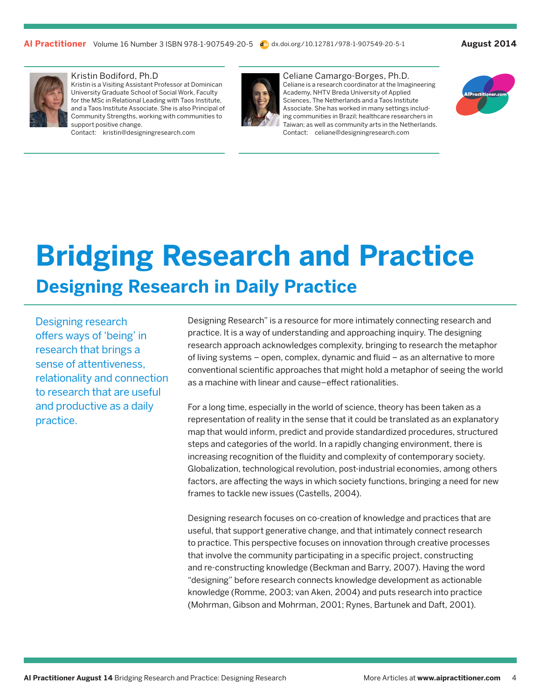<span id="page-3-0"></span>

#### Kristin Bodiford, Ph.D

Kristin is a Visiting Assistant Professor at Dominican University Graduate School of Social Work, Faculty for the MSc in Relational Leading with Taos Institute, and a Taos Institute Associate. She is also Principal of Community Strengths, working with communities to support positive change.

Contact: kristin@designingresearch.com



Celiane Camargo-Borges, Ph.D. Celiane is a research coordinator at the Imagineering Academy, NHTV Breda University of Applied Sciences, The Netherlands and a Taos Institute Associate. She has worked in many settings including communities in Brazil; healthcare researchers in Taiwan; as well as community arts in the Netherlands. Contact: celiane@designingresearch.com



## **Designing Research in Daily Practice Bridging Research and Practice**

Designing research offers ways of 'being' in research that brings a sense of attentiveness, relationality and connection to research that are useful and productive as a daily practice.

Designing Research" is a resource for more intimately connecting research and practice. It is a way of understanding and approaching inquiry. The designing research approach acknowledges complexity, bringing to research the metaphor of living systems – open, complex, dynamic and fluid – as an alternative to more conventional scientific approaches that might hold a metaphor of seeing the world as a machine with linear and cause–effect rationalities.

For a long time, especially in the world of science, theory has been taken as a representation of reality in the sense that it could be translated as an explanatory map that would inform, predict and provide standardized procedures, structured steps and categories of the world. In a rapidly changing environment, there is increasing recognition of the fluidity and complexity of contemporary society. Globalization, technological revolution, post-industrial economies, among others factors, are affecting the ways in which society functions, bringing a need for new frames to tackle new issues (Castells, 2004).

Designing research focuses on co-creation of knowledge and practices that are useful, that support generative change, and that intimately connect research to practice. This perspective focuses on innovation through creative processes that involve the community participating in a specific project, constructing and re-constructing knowledge (Beckman and Barry, 2007). Having the word "designing" before research connects knowledge development as actionable knowledge (Romme, 2003; van Aken, 2004) and puts research into practice (Mohrman, Gibson and Mohrman, 2001; Rynes, Bartunek and Daft, 2001).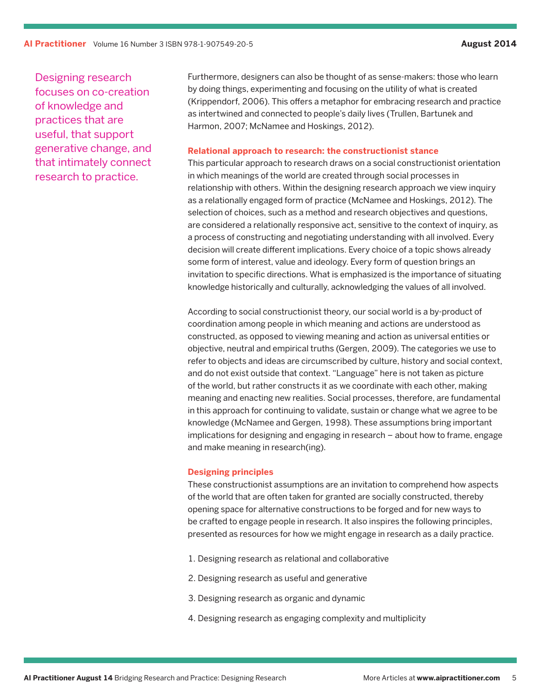Designing research focuses on co-creation of knowledge and practices that are useful, that support generative change, and that intimately connect research to practice.

Furthermore, designers can also be thought of as sense-makers: those who learn by doing things, experimenting and focusing on the utility of what is created (Krippendorf, 2006). This offers a metaphor for embracing research and practice as intertwined and connected to people's daily lives (Trullen, Bartunek and Harmon, 2007; McNamee and Hoskings, 2012).

#### **Relational approach to research: the constructionist stance**

This particular approach to research draws on a social constructionist orientation in which meanings of the world are created through social processes in relationship with others. Within the designing research approach we view inquiry as a relationally engaged form of practice (McNamee and Hoskings, 2012). The selection of choices, such as a method and research objectives and questions, are considered a relationally responsive act, sensitive to the context of inquiry, as a process of constructing and negotiating understanding with all involved. Every decision will create different implications. Every choice of a topic shows already some form of interest, value and ideology. Every form of question brings an invitation to specific directions. What is emphasized is the importance of situating knowledge historically and culturally, acknowledging the values of all involved.

According to social constructionist theory, our social world is a by-product of coordination among people in which meaning and actions are understood as constructed, as opposed to viewing meaning and action as universal entities or objective, neutral and empirical truths (Gergen, 2009). The categories we use to refer to objects and ideas are circumscribed by culture, history and social context, and do not exist outside that context. "Language" here is not taken as picture of the world, but rather constructs it as we coordinate with each other, making meaning and enacting new realities. Social processes, therefore, are fundamental in this approach for continuing to validate, sustain or change what we agree to be knowledge (McNamee and Gergen, 1998). These assumptions bring important implications for designing and engaging in research – about how to frame, engage and make meaning in research(ing).

#### **Designing principles**

These constructionist assumptions are an invitation to comprehend how aspects of the world that are often taken for granted are socially constructed, thereby opening space for alternative constructions to be forged and for new ways to be crafted to engage people in research. It also inspires the following principles, presented as resources for how we might engage in research as a daily practice.

- 1. Designing research as relational and collaborative
- 2. Designing research as useful and generative
- 3. Designing research as organic and dynamic
- 4. Designing research as engaging complexity and multiplicity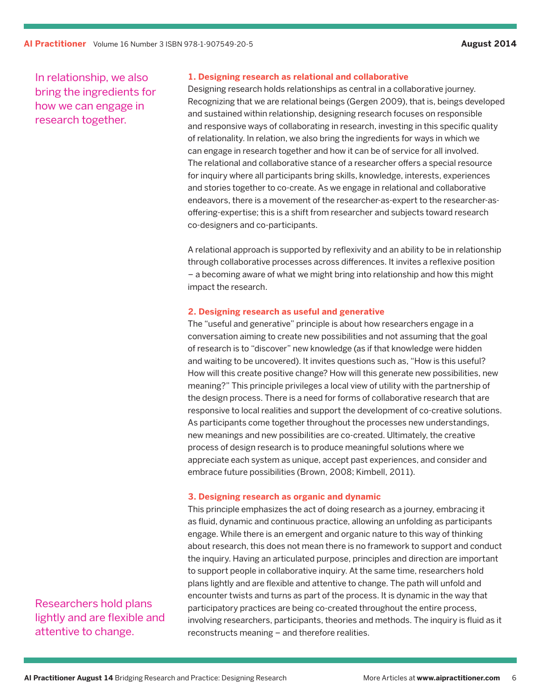In relationship, we also bring the ingredients for how we can engage in research together.

#### **1. Designing research as relational and collaborative**

Designing research holds relationships as central in a collaborative journey. Recognizing that we are relational beings (Gergen 2009), that is, beings developed and sustained within relationship, designing research focuses on responsible and responsive ways of collaborating in research, investing in this specific quality of relationality. In relation, we also bring the ingredients for ways in which we can engage in research together and how it can be of service for all involved. The relational and collaborative stance of a researcher offers a special resource for inquiry where all participants bring skills, knowledge, interests, experiences and stories together to co-create. As we engage in relational and collaborative endeavors, there is a movement of the researcher-as-expert to the researcher-asoffering-expertise; this is a shift from researcher and subjects toward research co-designers and co-participants.

A relational approach is supported by reflexivity and an ability to be in relationship through collaborative processes across differences. It invites a reflexive position – a becoming aware of what we might bring into relationship and how this might impact the research.

#### **2. Designing research as useful and generative**

The "useful and generative" principle is about how researchers engage in a conversation aiming to create new possibilities and not assuming that the goal of research is to "discover" new knowledge (as if that knowledge were hidden and waiting to be uncovered). It invites questions such as, "How is this useful? How will this create positive change? How will this generate new possibilities, new meaning?" This principle privileges a local view of utility with the partnership of the design process. There is a need for forms of collaborative research that are responsive to local realities and support the development of co-creative solutions. As participants come together throughout the processes new understandings, new meanings and new possibilities are co-created. Ultimately, the creative process of design research is to produce meaningful solutions where we appreciate each system as unique, accept past experiences, and consider and embrace future possibilities (Brown, 2008; Kimbell, 2011).

#### **3. Designing research as organic and dynamic**

This principle emphasizes the act of doing research as a journey, embracing it as fluid, dynamic and continuous practice, allowing an unfolding as participants engage. While there is an emergent and organic nature to this way of thinking about research, this does not mean there is no framework to support and conduct the inquiry. Having an articulated purpose, principles and direction are important to support people in collaborative inquiry. At the same time, researchers hold plans lightly and are flexible and attentive to change. The path will unfold and encounter twists and turns as part of the process. It is dynamic in the way that participatory practices are being co-created throughout the entire process, involving researchers, participants, theories and methods. The inquiry is fluid as it reconstructs meaning – and therefore realities.

Researchers hold plans lightly and are flexible and attentive to change.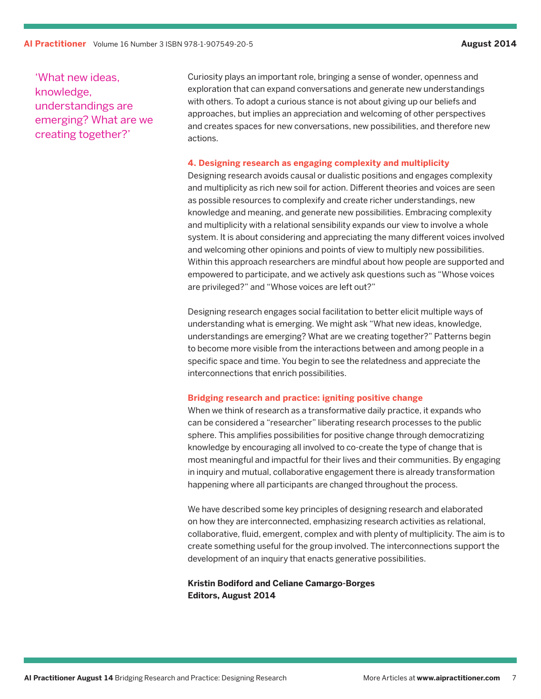'What new ideas, knowledge, understandings are emerging? What are we creating together?'

Curiosity plays an important role, bringing a sense of wonder, openness and exploration that can expand conversations and generate new understandings with others. To adopt a curious stance is not about giving up our beliefs and approaches, but implies an appreciation and welcoming of other perspectives and creates spaces for new conversations, new possibilities, and therefore new actions.

#### **4. Designing research as engaging complexity and multiplicity**

Designing research avoids causal or dualistic positions and engages complexity and multiplicity as rich new soil for action. Different theories and voices are seen as possible resources to complexify and create richer understandings, new knowledge and meaning, and generate new possibilities. Embracing complexity and multiplicity with a relational sensibility expands our view to involve a whole system. It is about considering and appreciating the many different voices involved and welcoming other opinions and points of view to multiply new possibilities. Within this approach researchers are mindful about how people are supported and empowered to participate, and we actively ask questions such as "Whose voices are privileged?" and "Whose voices are left out?"

Designing research engages social facilitation to better elicit multiple ways of understanding what is emerging. We might ask "What new ideas, knowledge, understandings are emerging? What are we creating together?" Patterns begin to become more visible from the interactions between and among people in a specific space and time. You begin to see the relatedness and appreciate the interconnections that enrich possibilities.

#### **Bridging research and practice: igniting positive change**

When we think of research as a transformative daily practice, it expands who can be considered a "researcher" liberating research processes to the public sphere. This amplifies possibilities for positive change through democratizing knowledge by encouraging all involved to co-create the type of change that is most meaningful and impactful for their lives and their communities. By engaging in inquiry and mutual, collaborative engagement there is already transformation happening where all participants are changed throughout the process.

We have described some key principles of designing research and elaborated on how they are interconnected, emphasizing research activities as relational, collaborative, fluid, emergent, complex and with plenty of multiplicity. The aim is to create something useful for the group involved. The interconnections support the development of an inquiry that enacts generative possibilities.

#### **Kristin Bodiford and Celiane Camargo-Borges Editors, August 2014**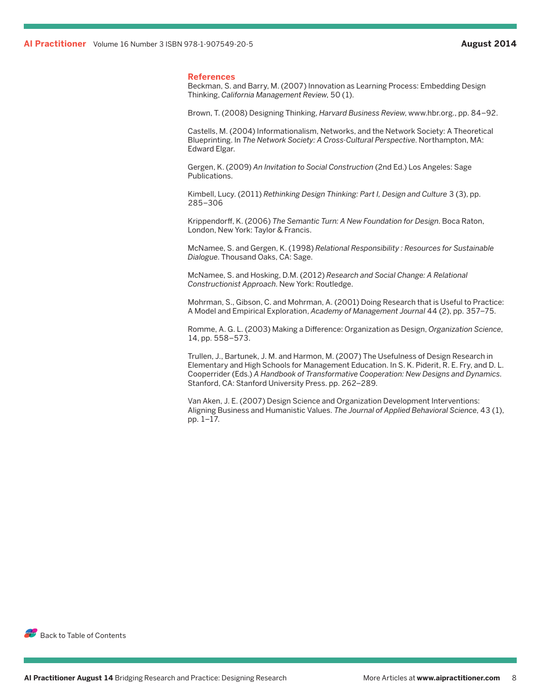#### **References**

Beckman, S. and Barry, M. (2007) Innovation as Learning Process: Embedding Design Thinking, *California Management Review*, 50 (1).

Brown, T. (2008) Designing Thinking, *Harvard Business Review*, www.hbr.org., pp. 84–92.

Castells, M. (2004) Informationalism, Networks, and the Network Society: A Theoretical Blueprinting. In *The Network Society: A Cross-Cultural Perspective*. Northampton, MA: Edward Elgar.

Gergen, K. (2009) *An Invitation to Social Construction* (2nd Ed.) Los Angeles: Sage Publications.

Kimbell, Lucy. (2011) *Rethinking Design Thinking: Part I, Design and Culture* 3 (3), pp. 285–306

Krippendorff, K. (2006) *The Semantic Turn: A New Foundation for Design*. Boca Raton, London, New York: Taylor & Francis.

McNamee, S. and Gergen, K. (1998) *Relational Responsibility : Resources for Sustainable Dialogue*. Thousand Oaks, CA: Sage.

McNamee, S. and Hosking, D.M. (2012) *Research and Social Change: A Relational Constructionist Approach*. New York: Routledge.

Mohrman, S., Gibson, C. and Mohrman, A. (2001) Doing Research that is Useful to Practice: A Model and Empirical Exploration, *Academy of Management Journal* 44 (2), pp. 357–75.

Romme, A. G. L. (2003) Making a Difference: Organization as Design, *Organization Science*, 14, pp. 558–573.

Trullen, J., Bartunek, J. M. and Harmon, M. (2007) The Usefulness of Design Research in Elementary and High Schools for Management Education. In S. K. Piderit, R. E. Fry, and D. L. Cooperrider (Eds.) *A Handbook of Transformative Cooperation: New Designs and Dynamics*. Stanford, CA: Stanford University Press. pp. 262–289.

Van Aken, J. E. (2007) Design Science and Organization Development Interventions: Aligning Business and Humanistic Values. *The Journal of Applied Behavioral Science*, 43 (1), pp. 1–17.

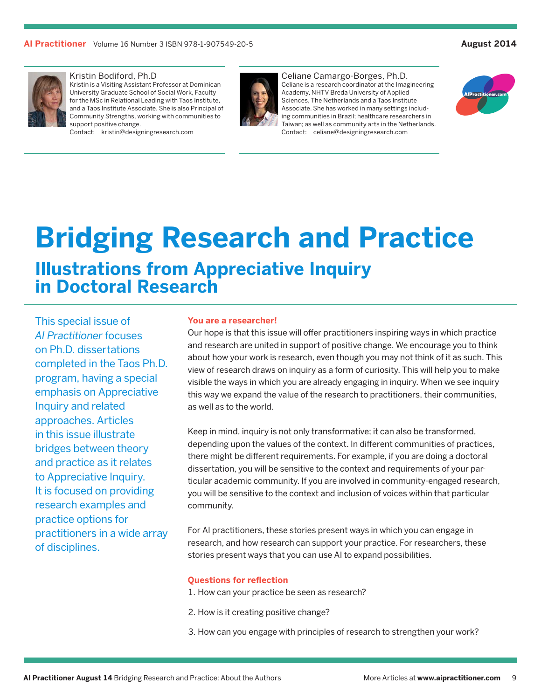<span id="page-8-0"></span>

#### Kristin Bodiford, Ph.D

Kristin is a Visiting Assistant Professor at Dominican University Graduate School of Social Work, Faculty for the MSc in Relational Leading with Taos Institute, and a Taos Institute Associate. She is also Principal of Community Strengths, working with communities to support positive change.

Contact: kristin@designingresearch.com



Celiane Camargo-Borges, Ph.D. Celiane is a research coordinator at the Imagineering Academy, NHTV Breda University of Applied Sciences, The Netherlands and a Taos Institute Associate. She has worked in many settings including communities in Brazil; healthcare researchers in Taiwan; as well as community arts in the Netherlands. Contact: celiane@designingresearch.com



## **Bridging Research and Practice Illustrations from Appreciative Inquiry in Doctoral Research**

This special issue of *AI Practitioner* focuses on Ph.D. dissertations completed in the Taos Ph.D. program, having a special emphasis on Appreciative Inquiry and related approaches. Articles in this issue illustrate bridges between theory and practice as it relates to Appreciative Inquiry. It is focused on providing research examples and practice options for practitioners in a wide array of disciplines.

#### **You are a researcher!**

Our hope is that this issue will offer practitioners inspiring ways in which practice and research are united in support of positive change. We encourage you to think about how your work is research, even though you may not think of it as such. This view of research draws on inquiry as a form of curiosity. This will help you to make visible the ways in which you are already engaging in inquiry. When we see inquiry this way we expand the value of the research to practitioners, their communities, as well as to the world.

Keep in mind, inquiry is not only transformative; it can also be transformed, depending upon the values of the context. In different communities of practices, there might be different requirements. For example, if you are doing a doctoral dissertation, you will be sensitive to the context and requirements of your particular academic community. If you are involved in community-engaged research, you will be sensitive to the context and inclusion of voices within that particular community.

For AI practitioners, these stories present ways in which you can engage in research, and how research can support your practice. For researchers, these stories present ways that you can use AI to expand possibilities.

#### **Questions for reflection**

- 1. How can your practice be seen as research?
- 2. How is it creating positive change?
- 3. How can you engage with principles of research to strengthen your work?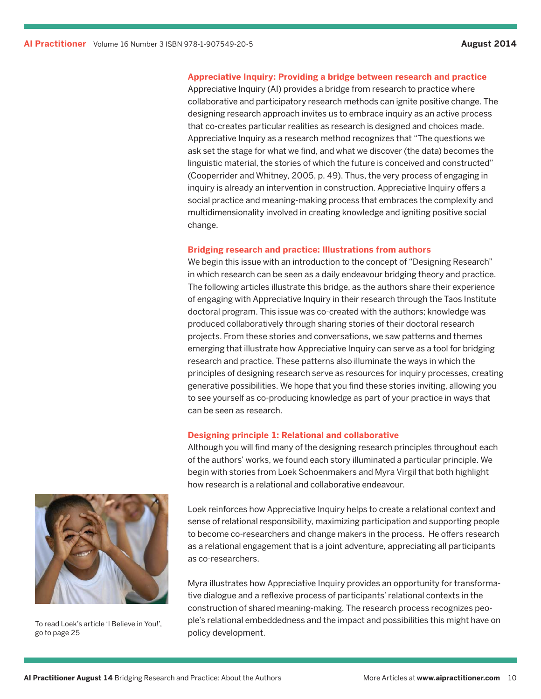#### **Appreciative Inquiry: Providing a bridge between research and practice**

Appreciative Inquiry (AI) provides a bridge from research to practice where collaborative and participatory research methods can ignite positive change. The designing research approach invites us to embrace inquiry as an active process that co-creates particular realities as research is designed and choices made. Appreciative Inquiry as a research method recognizes that "The questions we ask set the stage for what we find, and what we discover (the data) becomes the linguistic material, the stories of which the future is conceived and constructed" (Cooperrider and Whitney, 2005, p. 49). Thus, the very process of engaging in inquiry is already an intervention in construction. Appreciative Inquiry offers a social practice and meaning-making process that embraces the complexity and multidimensionality involved in creating knowledge and igniting positive social change.

#### **Bridging research and practice: Illustrations from authors**

We begin this issue with an introduction to the concept of "Designing Research" in which research can be seen as a daily endeavour bridging theory and practice. The following articles illustrate this bridge, as the authors share their experience of engaging with Appreciative Inquiry in their research through the Taos Institute doctoral program. This issue was co-created with the authors; knowledge was produced collaboratively through sharing stories of their doctoral research projects. From these stories and conversations, we saw patterns and themes emerging that illustrate how Appreciative Inquiry can serve as a tool for bridging research and practice. These patterns also illuminate the ways in which the principles of designing research serve as resources for inquiry processes, creating generative possibilities. We hope that you find these stories inviting, allowing you to see yourself as co-producing knowledge as part of your practice in ways that can be seen as research.

#### **Designing principle 1: Relational and collaborative**

Although you will find many of the designing research principles throughout each of the authors' works, we found each story illuminated a particular principle. We begin with stories from Loek Schoenmakers and Myra Virgil that both highlight how research is a relational and collaborative endeavour.

Loek reinforces how Appreciative Inquiry helps to create a relational context and sense of relational responsibility, maximizing participation and supporting people to become co-researchers and change makers in the process. He offers research as a relational engagement that is a joint adventure, appreciating all participants as co-researchers.

Myra illustrates how Appreciative Inquiry provides an opportunity for transformative dialogue and a reflexive process of participants' relational contexts in the construction of shared meaning-making. The research process recognizes people's relational embeddedness and the impact and possibilities this might have on policy development.



To read Loek's article 'I Believe in You!', go to page 25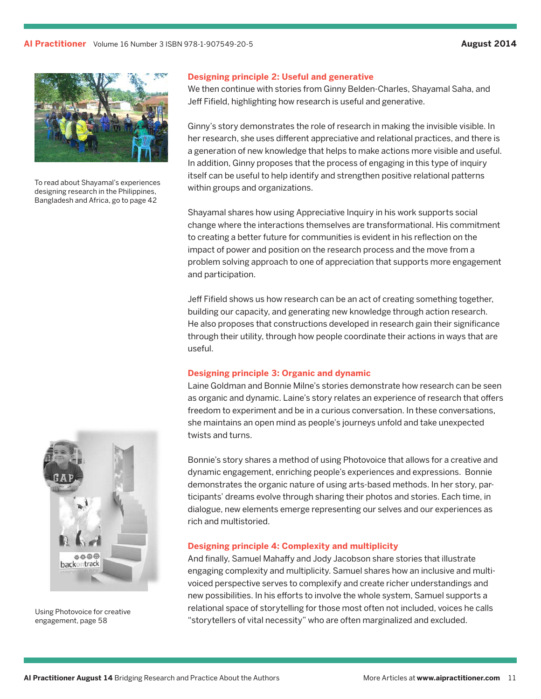

To read about Shayamal's experiences designing research in the Philippines, Bangladesh and Africa, go to page 42

#### **Designing principle 2: Useful and generative**

We then continue with stories from Ginny Belden-Charles, Shayamal Saha, and Jeff Fifield, highlighting how research is useful and generative.

Ginny's story demonstrates the role of research in making the invisible visible. In her research, she uses different appreciative and relational practices, and there is a generation of new knowledge that helps to make actions more visible and useful. In addition, Ginny proposes that the process of engaging in this type of inquiry itself can be useful to help identify and strengthen positive relational patterns within groups and organizations.

Shayamal shares how using Appreciative Inquiry in his work supports social change where the interactions themselves are transformational. His commitment to creating a better future for communities is evident in his reflection on the impact of power and position on the research process and the move from a problem solving approach to one of appreciation that supports more engagement and participation.

Jeff Fifield shows us how research can be an act of creating something together, building our capacity, and generating new knowledge through action research. He also proposes that constructions developed in research gain their significance through their utility, through how people coordinate their actions in ways that are useful.

#### **Designing principle 3: Organic and dynamic**

Laine Goldman and Bonnie Milne's stories demonstrate how research can be seen as organic and dynamic. Laine's story relates an experience of research that offers freedom to experiment and be in a curious conversation. In these conversations, she maintains an open mind as people's journeys unfold and take unexpected twists and turns.

Bonnie's story shares a method of using Photovoice that allows for a creative and dynamic engagement, enriching people's experiences and expressions. Bonnie demonstrates the organic nature of using arts-based methods. In her story, participants' dreams evolve through sharing their photos and stories. Each time, in dialogue, new elements emerge representing our selves and our experiences as rich and multistoried.

#### **Designing principle 4: Complexity and multiplicity**

And finally, Samuel Mahaffy and Jody Jacobson share stories that illustrate engaging complexity and multiplicity. Samuel shares how an inclusive and multivoiced perspective serves to complexify and create richer understandings and new possibilities. In his efforts to involve the whole system, Samuel supports a relational space of storytelling for those most often not included, voices he calls "storytellers of vital necessity" who are often marginalized and excluded.



Using Photovoice for creative engagement, page 58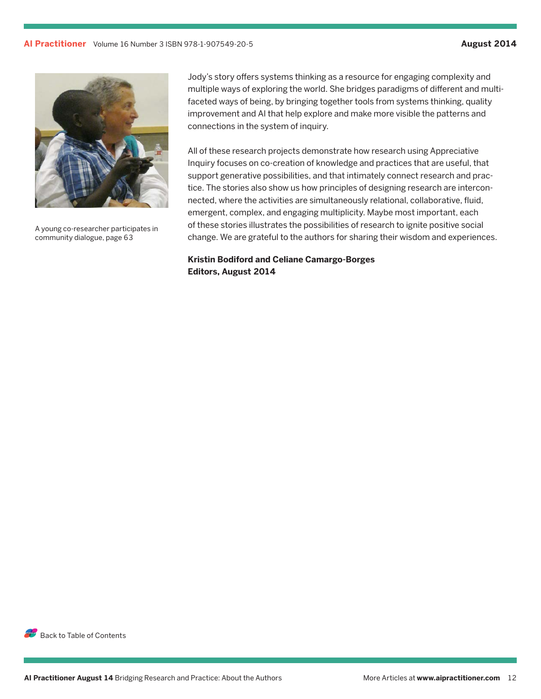

A young co-researcher participates in community dialogue, page 63

Jody's story offers systems thinking as a resource for engaging complexity and multiple ways of exploring the world. She bridges paradigms of different and multifaceted ways of being, by bringing together tools from systems thinking, quality improvement and AI that help explore and make more visible the patterns and connections in the system of inquiry.

All of these research projects demonstrate how research using Appreciative Inquiry focuses on co-creation of knowledge and practices that are useful, that support generative possibilities, and that intimately connect research and practice. The stories also show us how principles of designing research are interconnected, where the activities are simultaneously relational, collaborative, fluid, emergent, complex, and engaging multiplicity. Maybe most important, each of these stories illustrates the possibilities of research to ignite positive social change. We are grateful to the authors for sharing their wisdom and experiences.

**Kristin Bodiford and Celiane Camargo-Borges Editors, August 2014**

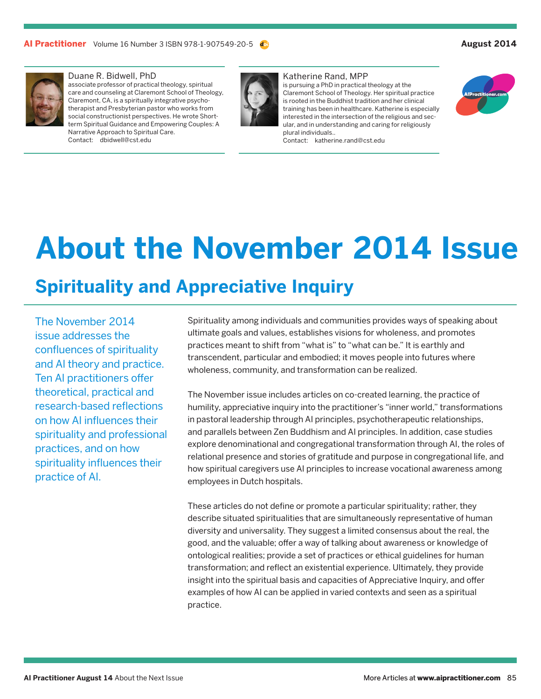<span id="page-12-0"></span>

#### Duane R. Bidwell, PhD

associate professor of practical theology, spiritual care and counseling at Claremont School of Theology, Claremont, CA, is a spiritually integrative psychotherapist and Presbyterian pastor who works from social constructionist perspectives. He wrote Shortterm Spiritual Guidance and Empowering Couples: A Narrative Approach to Spiritual Care. Contact: dbidwell@cst.edu



#### Katherine Rand, MPP

is pursuing a PhD in practical theology at the Claremont School of Theology. Her spiritual practice is rooted in the Buddhist tradition and her clinical training has been in healthcare. Katherine is especially interested in the intersection of the religious and secular, and in understanding and caring for religiously plural individuals..

Contact: katherine.rand@cst.edu



## **About the November 2014 Issue**

### **Spirituality and Appreciative Inquiry**

The November 2014 issue addresses the confluences of spirituality and AI theory and practice. Ten AI practitioners offer theoretical, practical and research-based reflections on how AI influences their spirituality and professional practices, and on how spirituality influences their practice of AI.

Spirituality among individuals and communities provides ways of speaking about ultimate goals and values, establishes visions for wholeness, and promotes practices meant to shift from "what is" to "what can be." It is earthly and transcendent, particular and embodied; it moves people into futures where wholeness, community, and transformation can be realized.

The November issue includes articles on co-created learning, the practice of humility, appreciative inquiry into the practitioner's "inner world," transformations in pastoral leadership through AI principles, psychotherapeutic relationships, and parallels between Zen Buddhism and AI principles. In addition, case studies explore denominational and congregational transformation through AI, the roles of relational presence and stories of gratitude and purpose in congregational life, and how spiritual caregivers use AI principles to increase vocational awareness among employees in Dutch hospitals.

These articles do not define or promote a particular spirituality; rather, they describe situated spiritualities that are simultaneously representative of human diversity and universality. They suggest a limited consensus about the real, the good, and the valuable; offer a way of talking about awareness or knowledge of ontological realities; provide a set of practices or ethical guidelines for human transformation; and reflect an existential experience. Ultimately, they provide insight into the spiritual basis and capacities of Appreciative Inquiry, and offer examples of how AI can be applied in varied contexts and seen as a spiritual practice.